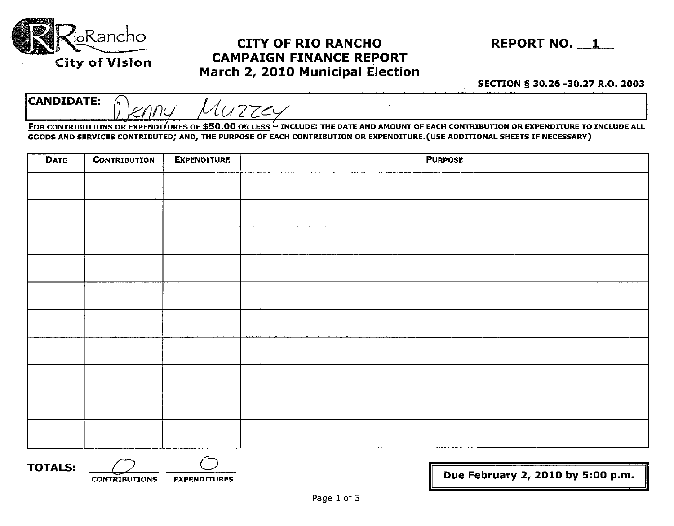

## , Rancho **CITY OF RIO RANCHO REPORT NO. 1 CAMPAIGN FINANCE REPORT March 2, 2010 Municipal Election**

**SECTION § 30.26 -30.27 R.O. 2003** 

CANDIDATE: Denny Muzzey

FOR CONTRIBUTIONS OR EXPENDITURES OF **\$50.00** OR LESS - INCLUDE: THE DATE AND AMOUNT OF EACH CONTRIBUTION OR EXPENDITURE TO INCLUDE ALL GOODS AND SERVICES CONTRIBUTED; AND, THE PURPOSE OF EACH CONTRIBUTION OR EXPENDITURE. (USE ADDITIONAL SHEETS IF NECESSARY)

| <b>DATE</b> | <b>CONTRIBUTION</b> | <b>EXPENDITURE</b> | <b>PURPOSE</b> |
|-------------|---------------------|--------------------|----------------|
|             |                     |                    |                |
|             |                     |                    |                |
|             |                     |                    |                |
|             |                     |                    |                |
|             |                     |                    |                |
|             |                     |                    |                |
|             |                     |                    |                |
|             |                     |                    |                |
|             |                     |                    |                |
|             |                     |                    |                |
|             |                     |                    |                |
|             |                     |                    |                |
|             |                     |                    |                |
|             |                     |                    |                |
|             |                     |                    |                |
|             |                     |                    |                |
|             |                     |                    |                |

**TOTALS:** <u>CONTRIBUTIONS</u> EXPENDITURES

Due February 2, 2010 by 5:00 p.m.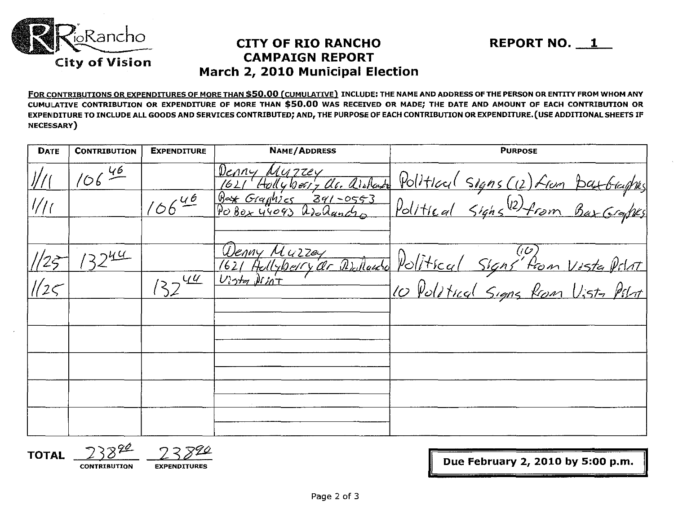

### CITY OF RIO RANCHO REPORT NO. 1 CAMPAIGN REPORT March 2, 2010 Municipal Election

FOR CONTRIBUTIONS OR EXPENDITURES OF MORE THAN \$50.00 (CUMULATIVE) INCLUDE: THE NAME AND ADDRESS OF THE PERSON OR ENTITY FROM WHOM ANY CUMULATIVE CONTRIBUTION OR EXPENDITURE OF MORE THAN \$50.00 WAS RECEIVED OR MADE; THE DATE AND AMOUNT OF EACH CONTRIBUTION OR EXPENDITURE TO INCLUDE ALL GOODS AND SERVICES CONTRIBUTED; AND, THE PURPOSE OF EACH CONTRIBUTION OR EXPENDITURE. (USE ADDITIONAL SHEETS IF NECESSARY)

| <b>DATE</b> | <b>CONTRIBUTION</b>     | <b>EXPENDITURE</b>         | NAME/ADDRESS                                         | <b>PURPOSE</b>                                                                                                    |  |
|-------------|-------------------------|----------------------------|------------------------------------------------------|-------------------------------------------------------------------------------------------------------------------|--|
|             | $106\frac{\sqrt{6}}{2}$ |                            | Denny Muzzey<br>1621 Holly berry alc. alsolante      |                                                                                                                   |  |
| 1/1         |                         | 10640                      | <u>Bex Graphics 391-0553</u><br>Pobox 44093 Arolanch | Political signs (12) from Batbaghis<br>Political Signs (12) from Bax Graphs                                       |  |
|             |                         |                            |                                                      |                                                                                                                   |  |
|             | 12244                   |                            |                                                      |                                                                                                                   |  |
|             |                         | $132^{\frac{\sqrt{u}}{2}}$ |                                                      | Wenny Muzzey<br>1621 Hellybery dr Dullauto Political Signs from Viste Polat<br>10 Political Signs from Usta Polat |  |
|             |                         |                            |                                                      |                                                                                                                   |  |
|             |                         |                            |                                                      |                                                                                                                   |  |
|             |                         |                            |                                                      |                                                                                                                   |  |
|             |                         |                            |                                                      |                                                                                                                   |  |
|             |                         |                            |                                                      |                                                                                                                   |  |
|             |                         |                            |                                                      |                                                                                                                   |  |

**TOTAL** 

 $\frac{210}{200}$  EXPENDITURES **EXPENDITURES EXPENDITURES**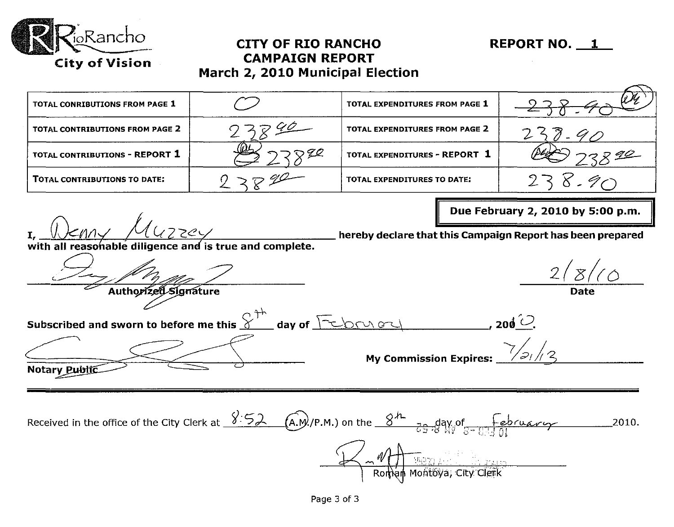

### **CITY OF RIO RANCHO REPORT NO. 1 CAMPAIGN REPORT March 2, 2010 Municipal Election**

| TOTAL CONRIBUTIONS FROM PAGE 1  |             | TOTAL EXPENDITURES FROM PAGE 1  |       |
|---------------------------------|-------------|---------------------------------|-------|
| TOTAL CONTRIBUTIONS FROM PAGE 2 | $-540$      | TOTAL EXPENDITURES FROM PAGE 2  |       |
| TOTAL CONTRIBUTIONS - REPORT 1  | $\sqrt{22}$ | TOTAL EXPENDITURES - REPORT $1$ | - 794 |
| TOTAL CONTRIBUTIONS TO DATE:    |             | TOTAL EXPENDITURES TO DATE:     |       |

 $k$ nny  $\mu$ **I,** 

**Due February 2, 2010 by 5:00 p.m.** 

with all reasonable diligence and is true and complete.<br> *A* <·-----<-7/~~~ / 2(*Z!(O*  Autho*rized* Signature

**hereby declare that this Campaign Report has been prepared** 

Subscribed and sworn to before me this  $S^{++}$  day of  $\boxed{\leq}$   $\boxed{\sim}$   $\frac{1}{\sqrt{2}}$ , 200<sup>'\_0</sup>.<br>My Commission Expires:  $\frac{1}{\sqrt{21/3}}$ Notary Public

Received in the office of the City Clerk at  $\frac{\sqrt{52}}{25}$  (A.M./P.M.) on the  $\frac{8^h}{25}$   $\frac{1}{6}$   $\frac{1}{3}$  in  $\frac{6}{5}$   $\frac{6}{13}$  il  $\mathbb{J}^*$ d, j $\mathbb{J}$ Montoya, City Clerk